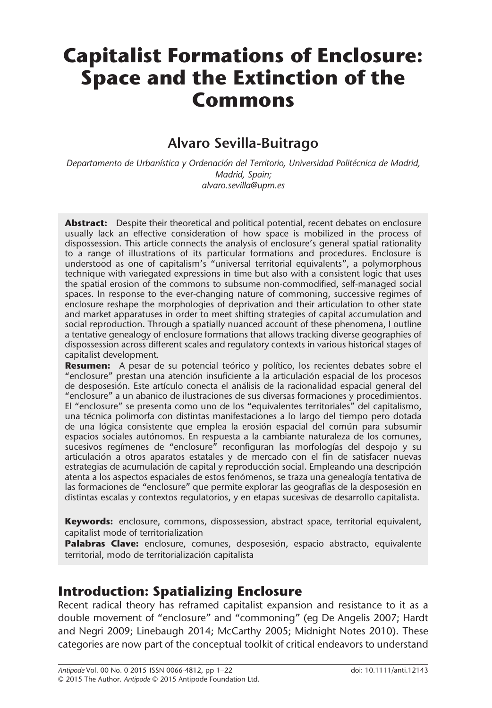# Capitalist Formations of Enclosure: Space and the Extinction of the Commons

Alvaro Sevilla-Buitrago Departamento de Urbanística y Ordenación del Territorio, Universidad Politécnica de Madrid, Madrid, Spain; alvaro.sevilla@upm.es

**Abstract:** Despite their theoretical and political potential, recent debates on enclosure usually lack an effective consideration of how space is mobilized in the process of dispossession. This article connects the analysis of enclosure's general spatial rationality to a range of illustrations of its particular formations and procedures. Enclosure is understood as one of capitalism's "universal territorial equivalents", a polymorphous technique with variegated expressions in time but also with a consistent logic that uses the spatial erosion of the commons to subsume non-commodified, self-managed social spaces. In response to the ever-changing nature of commoning, successive regimes of enclosure reshape the morphologies of deprivation and their articulation to other state and market apparatuses in order to meet shifting strategies of capital accumulation and social reproduction. Through a spatially nuanced account of these phenomena, I outline a tentative genealogy of enclosure formations that allows tracking diverse geographies of dispossession across different scales and regulatory contexts in various historical stages of capitalist development.

Resumen: A pesar de su potencial teórico y político, los recientes debates sobre el "enclosure" prestan una atención insuficiente a la articulación espacial de los procesos de desposesión. Este artículo conecta el análisis de la racionalidad espacial general del "enclosure" a un abanico de ilustraciones de sus diversas formaciones y procedimientos. El "enclosure" se presenta como uno de los "equivalentes territoriales" del capitalismo, una técnica polimorfa con distintas manifestaciones a lo largo del tiempo pero dotada de una lógica consistente que emplea la erosión espacial del común para subsumir espacios sociales autónomos. En respuesta a la cambiante naturaleza de los comunes, sucesivos regímenes de "enclosure" reconfiguran las morfologías del despojo y su articulación a otros aparatos estatales y de mercado con el fin de satisfacer nuevas estrategias de acumulación de capital y reproducción social. Empleando una descripción atenta a los aspectos espaciales de estos fenómenos, se traza una genealogía tentativa de las formaciones de "enclosure" que permite explorar las geografías de la desposesión en distintas escalas y contextos regulatorios, y en etapas sucesivas de desarrollo capitalista.

Keywords: enclosure, commons, dispossession, abstract space, territorial equivalent, capitalist mode of territorialization

Palabras Clave: enclosure, comunes, desposesión, espacio abstracto, equivalente territorial, modo de territorialización capitalista

# Introduction: Spatializing Enclosure

Recent radical theory has reframed capitalist expansion and resistance to it as a double movement of "enclosure" and "commoning" (eg De Angelis 2007; Hardt and Negri 2009; Linebaugh 2014; McCarthy 2005; Midnight Notes 2010). These categories are now part of the conceptual toolkit of critical endeavors to understand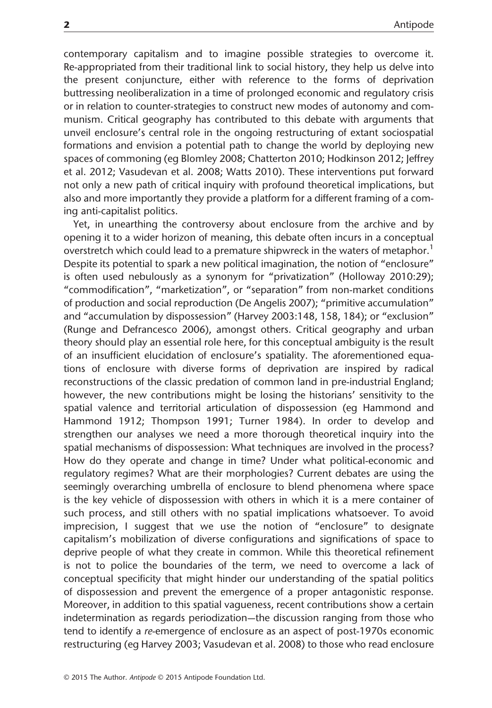contemporary capitalism and to imagine possible strategies to overcome it. Re-appropriated from their traditional link to social history, they help us delve into the present conjuncture, either with reference to the forms of deprivation buttressing neoliberalization in a time of prolonged economic and regulatory crisis or in relation to counter-strategies to construct new modes of autonomy and communism. Critical geography has contributed to this debate with arguments that unveil enclosure's central role in the ongoing restructuring of extant sociospatial formations and envision a potential path to change the world by deploying new spaces of commoning (eg Blomley 2008; Chatterton 2010; Hodkinson 2012; Jeffrey et al. 2012; Vasudevan et al. 2008; Watts 2010). These interventions put forward not only a new path of critical inquiry with profound theoretical implications, but also and more importantly they provide a platform for a different framing of a coming anti-capitalist politics.

Yet, in unearthing the controversy about enclosure from the archive and by opening it to a wider horizon of meaning, this debate often incurs in a conceptual overstretch which could lead to a premature shipwreck in the waters of metaphor.<sup>1</sup> Despite its potential to spark a new political imagination, the notion of "enclosure" is often used nebulously as a synonym for "privatization" (Holloway 2010:29); "commodification", "marketization", or "separation" from non-market conditions of production and social reproduction (De Angelis 2007); "primitive accumulation" and "accumulation by dispossession" (Harvey 2003:148, 158, 184); or "exclusion" (Runge and Defrancesco 2006), amongst others. Critical geography and urban theory should play an essential role here, for this conceptual ambiguity is the result of an insufficient elucidation of enclosure's spatiality. The aforementioned equations of enclosure with diverse forms of deprivation are inspired by radical reconstructions of the classic predation of common land in pre-industrial England; however, the new contributions might be losing the historians' sensitivity to the spatial valence and territorial articulation of dispossession (eg Hammond and Hammond 1912; Thompson 1991; Turner 1984). In order to develop and strengthen our analyses we need a more thorough theoretical inquiry into the spatial mechanisms of dispossession: What techniques are involved in the process? How do they operate and change in time? Under what political-economic and regulatory regimes? What are their morphologies? Current debates are using the seemingly overarching umbrella of enclosure to blend phenomena where space is the key vehicle of dispossession with others in which it is a mere container of such process, and still others with no spatial implications whatsoever. To avoid imprecision, I suggest that we use the notion of "enclosure" to designate capitalism's mobilization of diverse configurations and significations of space to deprive people of what they create in common. While this theoretical refinement is not to police the boundaries of the term, we need to overcome a lack of conceptual specificity that might hinder our understanding of the spatial politics of dispossession and prevent the emergence of a proper antagonistic response. Moreover, in addition to this spatial vagueness, recent contributions show a certain indetermination as regards periodization—the discussion ranging from those who tend to identify a re-emergence of enclosure as an aspect of post-1970s economic restructuring (eg Harvey 2003; Vasudevan et al. 2008) to those who read enclosure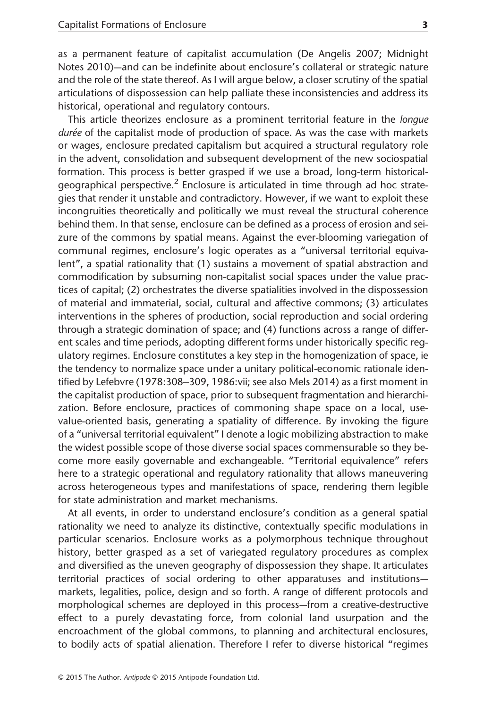as a permanent feature of capitalist accumulation (De Angelis 2007; Midnight Notes 2010)—and can be indefinite about enclosure's collateral or strategic nature and the role of the state thereof. As I will argue below, a closer scrutiny of the spatial articulations of dispossession can help palliate these inconsistencies and address its historical, operational and regulatory contours.

This article theorizes enclosure as a prominent territorial feature in the *longue* durée of the capitalist mode of production of space. As was the case with markets or wages, enclosure predated capitalism but acquired a structural regulatory role in the advent, consolidation and subsequent development of the new sociospatial formation. This process is better grasped if we use a broad, long-term historicalgeographical perspective.<sup>2</sup> Enclosure is articulated in time through ad hoc strategies that render it unstable and contradictory. However, if we want to exploit these incongruities theoretically and politically we must reveal the structural coherence behind them. In that sense, enclosure can be defined as a process of erosion and seizure of the commons by spatial means. Against the ever-blooming variegation of communal regimes, enclosure's logic operates as a "universal territorial equivalent", a spatial rationality that (1) sustains a movement of spatial abstraction and commodification by subsuming non-capitalist social spaces under the value practices of capital; (2) orchestrates the diverse spatialities involved in the dispossession of material and immaterial, social, cultural and affective commons; (3) articulates interventions in the spheres of production, social reproduction and social ordering through a strategic domination of space; and (4) functions across a range of different scales and time periods, adopting different forms under historically specific regulatory regimes. Enclosure constitutes a key step in the homogenization of space, ie the tendency to normalize space under a unitary political-economic rationale identified by Lefebvre (1978:308–309, 1986:vii; see also Mels 2014) as a first moment in the capitalist production of space, prior to subsequent fragmentation and hierarchization. Before enclosure, practices of commoning shape space on a local, usevalue-oriented basis, generating a spatiality of difference. By invoking the figure of a "universal territorial equivalent" I denote a logic mobilizing abstraction to make the widest possible scope of those diverse social spaces commensurable so they become more easily governable and exchangeable. "Territorial equivalence" refers here to a strategic operational and regulatory rationality that allows maneuvering across heterogeneous types and manifestations of space, rendering them legible for state administration and market mechanisms.

At all events, in order to understand enclosure's condition as a general spatial rationality we need to analyze its distinctive, contextually specific modulations in particular scenarios. Enclosure works as a polymorphous technique throughout history, better grasped as a set of variegated regulatory procedures as complex and diversified as the uneven geography of dispossession they shape. It articulates territorial practices of social ordering to other apparatuses and institutions markets, legalities, police, design and so forth. A range of different protocols and morphological schemes are deployed in this process—from a creative-destructive effect to a purely devastating force, from colonial land usurpation and the encroachment of the global commons, to planning and architectural enclosures, to bodily acts of spatial alienation. Therefore I refer to diverse historical "regimes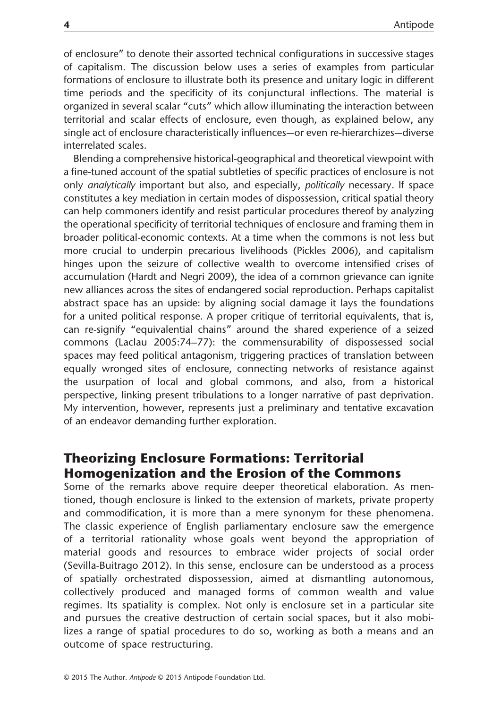of enclosure" to denote their assorted technical configurations in successive stages of capitalism. The discussion below uses a series of examples from particular formations of enclosure to illustrate both its presence and unitary logic in different time periods and the specificity of its conjunctural inflections. The material is organized in several scalar "cuts" which allow illuminating the interaction between territorial and scalar effects of enclosure, even though, as explained below, any single act of enclosure characteristically influences—or even re-hierarchizes—diverse interrelated scales.

Blending a comprehensive historical-geographical and theoretical viewpoint with a fine-tuned account of the spatial subtleties of specific practices of enclosure is not only analytically important but also, and especially, politically necessary. If space constitutes a key mediation in certain modes of dispossession, critical spatial theory can help commoners identify and resist particular procedures thereof by analyzing the operational specificity of territorial techniques of enclosure and framing them in broader political-economic contexts. At a time when the commons is not less but more crucial to underpin precarious livelihoods (Pickles 2006), and capitalism hinges upon the seizure of collective wealth to overcome intensified crises of accumulation (Hardt and Negri 2009), the idea of a common grievance can ignite new alliances across the sites of endangered social reproduction. Perhaps capitalist abstract space has an upside: by aligning social damage it lays the foundations for a united political response. A proper critique of territorial equivalents, that is, can re-signify "equivalential chains" around the shared experience of a seized commons (Laclau 2005:74–77): the commensurability of dispossessed social spaces may feed political antagonism, triggering practices of translation between equally wronged sites of enclosure, connecting networks of resistance against the usurpation of local and global commons, and also, from a historical perspective, linking present tribulations to a longer narrative of past deprivation. My intervention, however, represents just a preliminary and tentative excavation of an endeavor demanding further exploration.

## Theorizing Enclosure Formations: Territorial Homogenization and the Erosion of the Commons

Some of the remarks above require deeper theoretical elaboration. As mentioned, though enclosure is linked to the extension of markets, private property and commodification, it is more than a mere synonym for these phenomena. The classic experience of English parliamentary enclosure saw the emergence of a territorial rationality whose goals went beyond the appropriation of material goods and resources to embrace wider projects of social order (Sevilla-Buitrago 2012). In this sense, enclosure can be understood as a process of spatially orchestrated dispossession, aimed at dismantling autonomous, collectively produced and managed forms of common wealth and value regimes. Its spatiality is complex. Not only is enclosure set in a particular site and pursues the creative destruction of certain social spaces, but it also mobilizes a range of spatial procedures to do so, working as both a means and an outcome of space restructuring.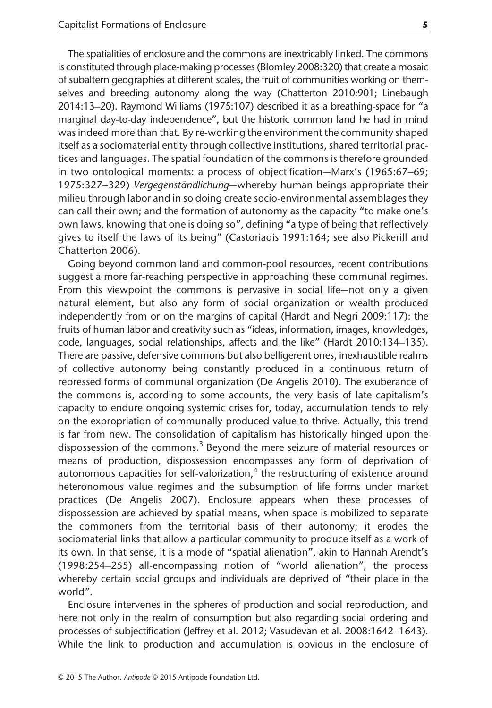The spatialities of enclosure and the commons are inextricably linked. The commons is constituted through place-making processes (Blomley 2008:320) that create a mosaic of subaltern geographies at different scales, the fruit of communities working on themselves and breeding autonomy along the way (Chatterton 2010:901; Linebaugh 2014:13–20). Raymond Williams (1975:107) described it as a breathing-space for "a marginal day-to-day independence", but the historic common land he had in mind was indeed more than that. By re-working the environment the community shaped itself as a sociomaterial entity through collective institutions, shared territorial practices and languages. The spatial foundation of the commons is therefore grounded in two ontological moments: a process of objectification—Marx's (1965:67–69; 1975:327–329) Vergegenständlichung—whereby human beings appropriate their milieu through labor and in so doing create socio-environmental assemblages they can call their own; and the formation of autonomy as the capacity "to make one's own laws, knowing that one is doing so", defining "a type of being that reflectively gives to itself the laws of its being" (Castoriadis 1991:164; see also Pickerill and Chatterton 2006).

Going beyond common land and common-pool resources, recent contributions suggest a more far-reaching perspective in approaching these communal regimes. From this viewpoint the commons is pervasive in social life—not only a given natural element, but also any form of social organization or wealth produced independently from or on the margins of capital (Hardt and Negri 2009:117): the fruits of human labor and creativity such as "ideas, information, images, knowledges, code, languages, social relationships, affects and the like" (Hardt 2010:134–135). There are passive, defensive commons but also belligerent ones, inexhaustible realms of collective autonomy being constantly produced in a continuous return of repressed forms of communal organization (De Angelis 2010). The exuberance of the commons is, according to some accounts, the very basis of late capitalism's capacity to endure ongoing systemic crises for, today, accumulation tends to rely on the expropriation of communally produced value to thrive. Actually, this trend is far from new. The consolidation of capitalism has historically hinged upon the dispossession of the commons. $3$  Beyond the mere seizure of material resources or means of production, dispossession encompasses any form of deprivation of autonomous capacities for self-valorization, $<sup>4</sup>$  the restructuring of existence around</sup> heteronomous value regimes and the subsumption of life forms under market practices (De Angelis 2007). Enclosure appears when these processes of dispossession are achieved by spatial means, when space is mobilized to separate the commoners from the territorial basis of their autonomy; it erodes the sociomaterial links that allow a particular community to produce itself as a work of its own. In that sense, it is a mode of "spatial alienation", akin to Hannah Arendt's (1998:254–255) all-encompassing notion of "world alienation", the process whereby certain social groups and individuals are deprived of "their place in the world".

Enclosure intervenes in the spheres of production and social reproduction, and here not only in the realm of consumption but also regarding social ordering and processes of subjectification (Jeffrey et al. 2012; Vasudevan et al. 2008:1642–1643). While the link to production and accumulation is obvious in the enclosure of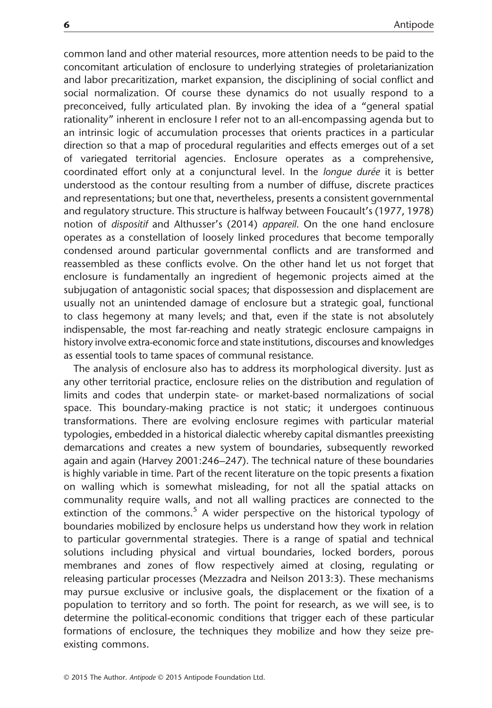common land and other material resources, more attention needs to be paid to the concomitant articulation of enclosure to underlying strategies of proletarianization and labor precaritization, market expansion, the disciplining of social conflict and social normalization. Of course these dynamics do not usually respond to a preconceived, fully articulated plan. By invoking the idea of a "general spatial rationality" inherent in enclosure I refer not to an all-encompassing agenda but to an intrinsic logic of accumulation processes that orients practices in a particular direction so that a map of procedural regularities and effects emerges out of a set of variegated territorial agencies. Enclosure operates as a comprehensive, coordinated effort only at a conjunctural level. In the longue durée it is better understood as the contour resulting from a number of diffuse, discrete practices and representations; but one that, nevertheless, presents a consistent governmental and regulatory structure. This structure is halfway between Foucault's (1977, 1978) notion of dispositif and Althusser's (2014) appareil. On the one hand enclosure operates as a constellation of loosely linked procedures that become temporally condensed around particular governmental conflicts and are transformed and reassembled as these conflicts evolve. On the other hand let us not forget that enclosure is fundamentally an ingredient of hegemonic projects aimed at the subjugation of antagonistic social spaces; that dispossession and displacement are usually not an unintended damage of enclosure but a strategic goal, functional to class hegemony at many levels; and that, even if the state is not absolutely indispensable, the most far-reaching and neatly strategic enclosure campaigns in history involve extra-economic force and state institutions, discourses and knowledges as essential tools to tame spaces of communal resistance.

The analysis of enclosure also has to address its morphological diversity. Just as any other territorial practice, enclosure relies on the distribution and regulation of limits and codes that underpin state- or market-based normalizations of social space. This boundary-making practice is not static; it undergoes continuous transformations. There are evolving enclosure regimes with particular material typologies, embedded in a historical dialectic whereby capital dismantles preexisting demarcations and creates a new system of boundaries, subsequently reworked again and again (Harvey 2001:246–247). The technical nature of these boundaries is highly variable in time. Part of the recent literature on the topic presents a fixation on walling which is somewhat misleading, for not all the spatial attacks on communality require walls, and not all walling practices are connected to the extinction of the commons.<sup>5</sup> A wider perspective on the historical typology of boundaries mobilized by enclosure helps us understand how they work in relation to particular governmental strategies. There is a range of spatial and technical solutions including physical and virtual boundaries, locked borders, porous membranes and zones of flow respectively aimed at closing, regulating or releasing particular processes (Mezzadra and Neilson 2013:3). These mechanisms may pursue exclusive or inclusive goals, the displacement or the fixation of a population to territory and so forth. The point for research, as we will see, is to determine the political-economic conditions that trigger each of these particular formations of enclosure, the techniques they mobilize and how they seize preexisting commons.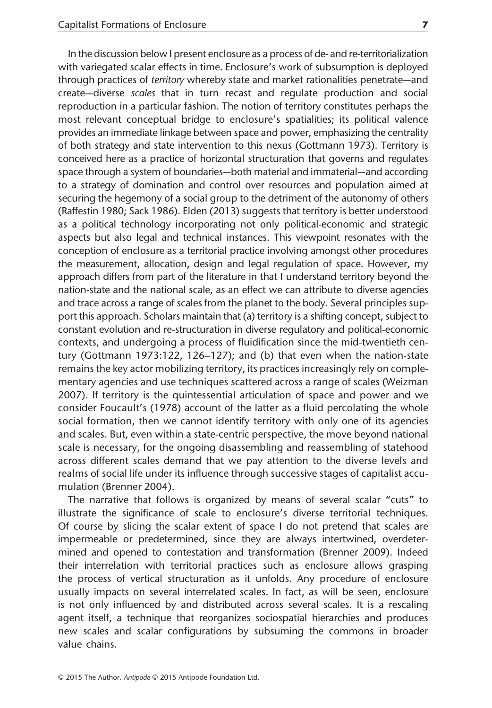In the discussion below I present enclosure as a process of de- and re-territorialization with variegated scalar effects in time. Enclosure's work of subsumption is deployed through practices of territory whereby state and market rationalities penetrate—and create—diverse scales that in turn recast and regulate production and social reproduction in a particular fashion. The notion of territory constitutes perhaps the most relevant conceptual bridge to enclosure's spatialities; its political valence provides an immediate linkage between space and power, emphasizing the centrality of both strategy and state intervention to this nexus (Gottmann 1973). Territory is conceived here as a practice of horizontal structuration that governs and regulates space through a system of boundaries—both material and immaterial—and according to a strategy of domination and control over resources and population aimed at securing the hegemony of a social group to the detriment of the autonomy of others (Raffestin 1980; Sack 1986). Elden (2013) suggests that territory is better understood as a political technology incorporating not only political-economic and strategic aspects but also legal and technical instances. This viewpoint resonates with the conception of enclosure as a territorial practice involving amongst other procedures the measurement, allocation, design and legal regulation of space. However, my approach differs from part of the literature in that I understand territory beyond the nation-state and the national scale, as an effect we can attribute to diverse agencies and trace across a range of scales from the planet to the body. Several principles support this approach. Scholars maintain that (a) territory is a shifting concept, subject to constant evolution and re-structuration in diverse regulatory and political-economic contexts, and undergoing a process of fluidification since the mid-twentieth century (Gottmann 1973:122, 126–127); and (b) that even when the nation-state remains the key actor mobilizing territory, its practices increasingly rely on complementary agencies and use techniques scattered across a range of scales (Weizman 2007). If territory is the quintessential articulation of space and power and we consider Foucault's (1978) account of the latter as a fluid percolating the whole social formation, then we cannot identify territory with only one of its agencies and scales. But, even within a state-centric perspective, the move beyond national scale is necessary, for the ongoing disassembling and reassembling of statehood across different scales demand that we pay attention to the diverse levels and realms of social life under its influence through successive stages of capitalist accumulation (Brenner 2004).

The narrative that follows is organized by means of several scalar "cuts" to illustrate the significance of scale to enclosure's diverse territorial techniques. Of course by slicing the scalar extent of space I do not pretend that scales are impermeable or predetermined, since they are always intertwined, overdetermined and opened to contestation and transformation (Brenner 2009). Indeed their interrelation with territorial practices such as enclosure allows grasping the process of vertical structuration as it unfolds. Any procedure of enclosure usually impacts on several interrelated scales. In fact, as will be seen, enclosure is not only influenced by and distributed across several scales. It is a rescaling agent itself, a technique that reorganizes sociospatial hierarchies and produces new scales and scalar configurations by subsuming the commons in broader value chains.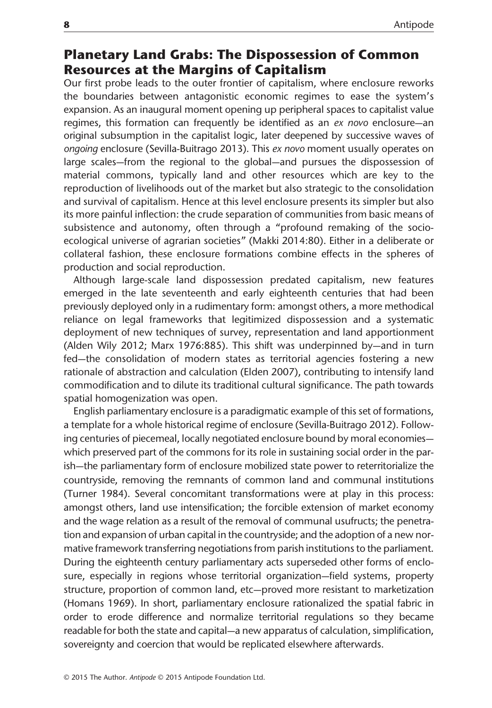# Planetary Land Grabs: The Dispossession of Common Resources at the Margins of Capitalism

Our first probe leads to the outer frontier of capitalism, where enclosure reworks the boundaries between antagonistic economic regimes to ease the system's expansion. As an inaugural moment opening up peripheral spaces to capitalist value regimes, this formation can frequently be identified as an ex novo enclosure—an original subsumption in the capitalist logic, later deepened by successive waves of ongoing enclosure (Sevilla-Buitrago 2013). This ex novo moment usually operates on large scales—from the regional to the global—and pursues the dispossession of material commons, typically land and other resources which are key to the reproduction of livelihoods out of the market but also strategic to the consolidation and survival of capitalism. Hence at this level enclosure presents its simpler but also its more painful inflection: the crude separation of communities from basic means of subsistence and autonomy, often through a "profound remaking of the socioecological universe of agrarian societies" (Makki 2014:80). Either in a deliberate or collateral fashion, these enclosure formations combine effects in the spheres of production and social reproduction.

Although large-scale land dispossession predated capitalism, new features emerged in the late seventeenth and early eighteenth centuries that had been previously deployed only in a rudimentary form: amongst others, a more methodical reliance on legal frameworks that legitimized dispossession and a systematic deployment of new techniques of survey, representation and land apportionment (Alden Wily 2012; Marx 1976:885). This shift was underpinned by—and in turn fed—the consolidation of modern states as territorial agencies fostering a new rationale of abstraction and calculation (Elden 2007), contributing to intensify land commodification and to dilute its traditional cultural significance. The path towards spatial homogenization was open.

English parliamentary enclosure is a paradigmatic example of this set of formations, a template for a whole historical regime of enclosure (Sevilla-Buitrago 2012). Following centuries of piecemeal, locally negotiated enclosure bound by moral economies which preserved part of the commons for its role in sustaining social order in the parish—the parliamentary form of enclosure mobilized state power to reterritorialize the countryside, removing the remnants of common land and communal institutions (Turner 1984). Several concomitant transformations were at play in this process: amongst others, land use intensification; the forcible extension of market economy and the wage relation as a result of the removal of communal usufructs; the penetration and expansion of urban capital in the countryside; and the adoption of a new normative framework transferring negotiations from parish institutions to the parliament. During the eighteenth century parliamentary acts superseded other forms of enclosure, especially in regions whose territorial organization—field systems, property structure, proportion of common land, etc—proved more resistant to marketization (Homans 1969). In short, parliamentary enclosure rationalized the spatial fabric in order to erode difference and normalize territorial regulations so they became readable for both the state and capital—a new apparatus of calculation, simplification, sovereignty and coercion that would be replicated elsewhere afterwards.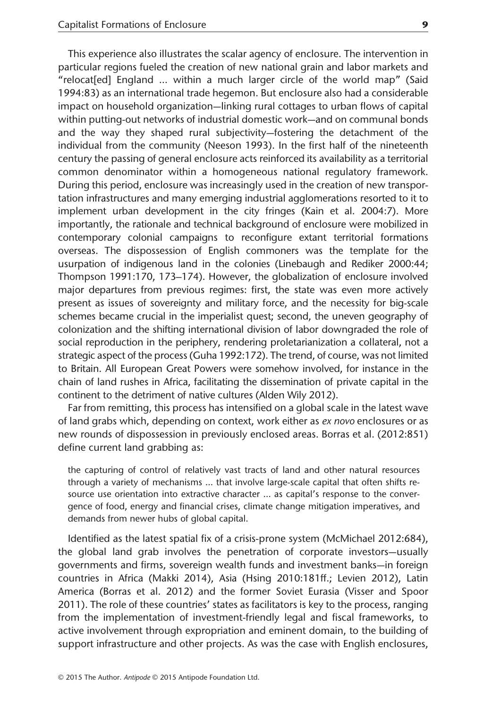This experience also illustrates the scalar agency of enclosure. The intervention in particular regions fueled the creation of new national grain and labor markets and "relocat[ed] England … within a much larger circle of the world map" (Said 1994:83) as an international trade hegemon. But enclosure also had a considerable impact on household organization—linking rural cottages to urban flows of capital within putting-out networks of industrial domestic work—and on communal bonds and the way they shaped rural subjectivity—fostering the detachment of the individual from the community (Neeson 1993). In the first half of the nineteenth century the passing of general enclosure acts reinforced its availability as a territorial common denominator within a homogeneous national regulatory framework. During this period, enclosure was increasingly used in the creation of new transportation infrastructures and many emerging industrial agglomerations resorted to it to implement urban development in the city fringes (Kain et al. 2004:7). More importantly, the rationale and technical background of enclosure were mobilized in contemporary colonial campaigns to reconfigure extant territorial formations overseas. The dispossession of English commoners was the template for the usurpation of indigenous land in the colonies (Linebaugh and Rediker 2000:44; Thompson 1991:170, 173–174). However, the globalization of enclosure involved major departures from previous regimes: first, the state was even more actively present as issues of sovereignty and military force, and the necessity for big-scale schemes became crucial in the imperialist quest; second, the uneven geography of colonization and the shifting international division of labor downgraded the role of social reproduction in the periphery, rendering proletarianization a collateral, not a strategic aspect of the process (Guha 1992:172). The trend, of course, was not limited to Britain. All European Great Powers were somehow involved, for instance in the chain of land rushes in Africa, facilitating the dissemination of private capital in the continent to the detriment of native cultures (Alden Wily 2012).

Far from remitting, this process has intensified on a global scale in the latest wave of land grabs which, depending on context, work either as ex novo enclosures or as new rounds of dispossession in previously enclosed areas. Borras et al. (2012:851) define current land grabbing as:

the capturing of control of relatively vast tracts of land and other natural resources through a variety of mechanisms … that involve large-scale capital that often shifts resource use orientation into extractive character … as capital's response to the convergence of food, energy and financial crises, climate change mitigation imperatives, and demands from newer hubs of global capital.

Identified as the latest spatial fix of a crisis-prone system (McMichael 2012:684), the global land grab involves the penetration of corporate investors—usually governments and firms, sovereign wealth funds and investment banks—in foreign countries in Africa (Makki 2014), Asia (Hsing 2010:181ff.; Levien 2012), Latin America (Borras et al. 2012) and the former Soviet Eurasia (Visser and Spoor 2011). The role of these countries' states as facilitators is key to the process, ranging from the implementation of investment-friendly legal and fiscal frameworks, to active involvement through expropriation and eminent domain, to the building of support infrastructure and other projects. As was the case with English enclosures,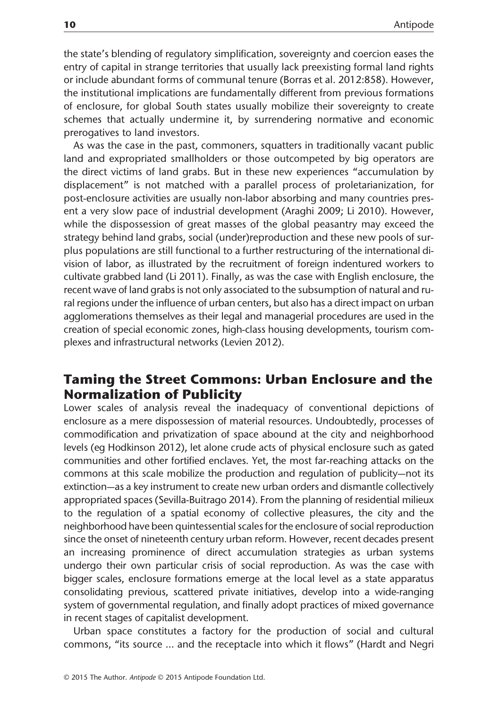the state's blending of regulatory simplification, sovereignty and coercion eases the entry of capital in strange territories that usually lack preexisting formal land rights or include abundant forms of communal tenure (Borras et al. 2012:858). However, the institutional implications are fundamentally different from previous formations of enclosure, for global South states usually mobilize their sovereignty to create schemes that actually undermine it, by surrendering normative and economic prerogatives to land investors.

As was the case in the past, commoners, squatters in traditionally vacant public land and expropriated smallholders or those outcompeted by big operators are the direct victims of land grabs. But in these new experiences "accumulation by displacement" is not matched with a parallel process of proletarianization, for post-enclosure activities are usually non-labor absorbing and many countries present a very slow pace of industrial development (Araghi 2009; Li 2010). However, while the dispossession of great masses of the global peasantry may exceed the strategy behind land grabs, social (under)reproduction and these new pools of surplus populations are still functional to a further restructuring of the international division of labor, as illustrated by the recruitment of foreign indentured workers to cultivate grabbed land (Li 2011). Finally, as was the case with English enclosure, the recent wave of land grabs is not only associated to the subsumption of natural and rural regions under the influence of urban centers, but also has a direct impact on urban agglomerations themselves as their legal and managerial procedures are used in the creation of special economic zones, high-class housing developments, tourism complexes and infrastructural networks (Levien 2012).

#### Taming the Street Commons: Urban Enclosure and the Normalization of Publicity

Lower scales of analysis reveal the inadequacy of conventional depictions of enclosure as a mere dispossession of material resources. Undoubtedly, processes of commodification and privatization of space abound at the city and neighborhood levels (eg Hodkinson 2012), let alone crude acts of physical enclosure such as gated communities and other fortified enclaves. Yet, the most far-reaching attacks on the commons at this scale mobilize the production and regulation of publicity—not its extinction—as a key instrument to create new urban orders and dismantle collectively appropriated spaces (Sevilla-Buitrago 2014). From the planning of residential milieux to the regulation of a spatial economy of collective pleasures, the city and the neighborhood have been quintessential scales for the enclosure of social reproduction since the onset of nineteenth century urban reform. However, recent decades present an increasing prominence of direct accumulation strategies as urban systems undergo their own particular crisis of social reproduction. As was the case with bigger scales, enclosure formations emerge at the local level as a state apparatus consolidating previous, scattered private initiatives, develop into a wide-ranging system of governmental regulation, and finally adopt practices of mixed governance in recent stages of capitalist development.

Urban space constitutes a factory for the production of social and cultural commons, "its source … and the receptacle into which it flows" (Hardt and Negri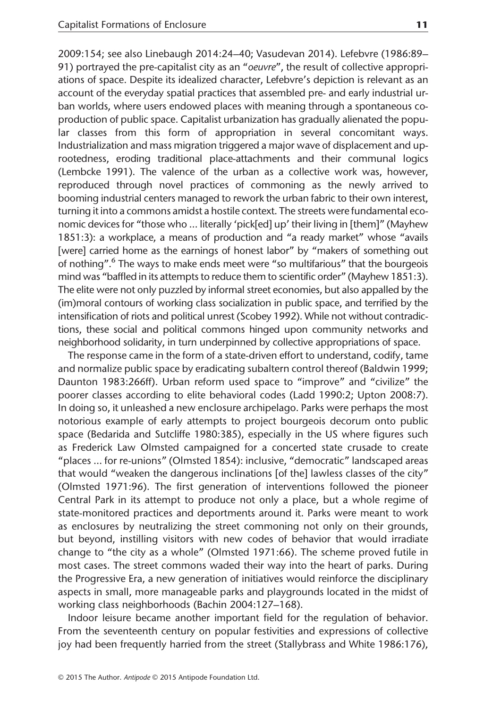ations of space. Despite its idealized character, Lefebvre's depiction is relevant as an account of the everyday spatial practices that assembled pre- and early industrial urban worlds, where users endowed places with meaning through a spontaneous coproduction of public space. Capitalist urbanization has gradually alienated the popular classes from this form of appropriation in several concomitant ways. Industrialization and mass migration triggered a major wave of displacement and uprootedness, eroding traditional place-attachments and their communal logics (Lembcke 1991). The valence of the urban as a collective work was, however, reproduced through novel practices of commoning as the newly arrived to booming industrial centers managed to rework the urban fabric to their own interest, turning it into a commons amidst a hostile context. The streets were fundamental economic devices for "those who … literally 'pick[ed] up' their living in [them]" (Mayhew 1851:3): a workplace, a means of production and "a ready market" whose "avails [were] carried home as the earnings of honest labor" by "makers of something out of nothing".<sup>6</sup> The ways to make ends meet were "so multifarious" that the bourgeois mind was "baffled in its attempts to reduce them to scientific order" (Mayhew 1851:3). The elite were not only puzzled by informal street economies, but also appalled by the (im)moral contours of working class socialization in public space, and terrified by the intensification of riots and political unrest (Scobey 1992). While not without contradictions, these social and political commons hinged upon community networks and neighborhood solidarity, in turn underpinned by collective appropriations of space.

The response came in the form of a state-driven effort to understand, codify, tame and normalize public space by eradicating subaltern control thereof (Baldwin 1999; Daunton 1983:266ff). Urban reform used space to "improve" and "civilize" the poorer classes according to elite behavioral codes (Ladd 1990:2; Upton 2008:7). In doing so, it unleashed a new enclosure archipelago. Parks were perhaps the most notorious example of early attempts to project bourgeois decorum onto public space (Bedarida and Sutcliffe 1980:385), especially in the US where figures such as Frederick Law Olmsted campaigned for a concerted state crusade to create "places … for re-unions" (Olmsted 1854): inclusive, "democratic" landscaped areas that would "weaken the dangerous inclinations [of the] lawless classes of the city" (Olmsted 1971:96). The first generation of interventions followed the pioneer Central Park in its attempt to produce not only a place, but a whole regime of state-monitored practices and deportments around it. Parks were meant to work as enclosures by neutralizing the street commoning not only on their grounds, but beyond, instilling visitors with new codes of behavior that would irradiate change to "the city as a whole" (Olmsted 1971:66). The scheme proved futile in most cases. The street commons waded their way into the heart of parks. During the Progressive Era, a new generation of initiatives would reinforce the disciplinary aspects in small, more manageable parks and playgrounds located in the midst of working class neighborhoods (Bachin 2004:127–168).

Indoor leisure became another important field for the regulation of behavior. From the seventeenth century on popular festivities and expressions of collective joy had been frequently harried from the street (Stallybrass and White 1986:176),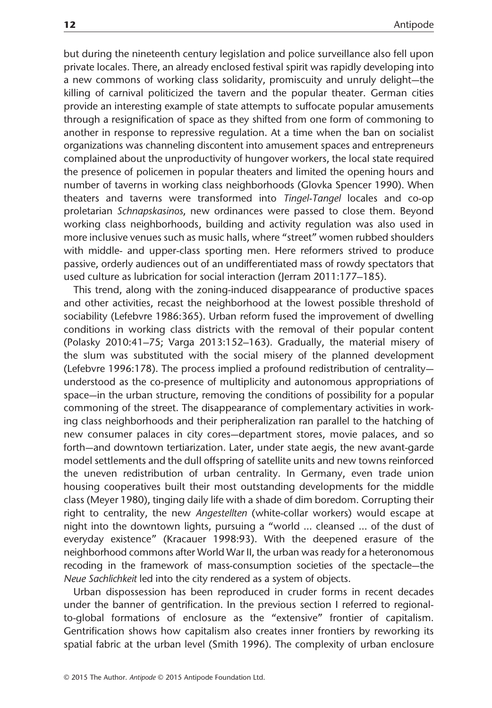but during the nineteenth century legislation and police surveillance also fell upon private locales. There, an already enclosed festival spirit was rapidly developing into a new commons of working class solidarity, promiscuity and unruly delight—the killing of carnival politicized the tavern and the popular theater. German cities provide an interesting example of state attempts to suffocate popular amusements through a resignification of space as they shifted from one form of commoning to another in response to repressive regulation. At a time when the ban on socialist organizations was channeling discontent into amusement spaces and entrepreneurs complained about the unproductivity of hungover workers, the local state required the presence of policemen in popular theaters and limited the opening hours and number of taverns in working class neighborhoods (Glovka Spencer 1990). When theaters and taverns were transformed into Tingel-Tangel locales and co-op proletarian Schnapskasinos, new ordinances were passed to close them. Beyond working class neighborhoods, building and activity regulation was also used in more inclusive venues such as music halls, where "street" women rubbed shoulders with middle- and upper-class sporting men. Here reformers strived to produce passive, orderly audiences out of an undifferentiated mass of rowdy spectators that used culture as lubrication for social interaction (Jerram 2011:177–185).

This trend, along with the zoning-induced disappearance of productive spaces and other activities, recast the neighborhood at the lowest possible threshold of sociability (Lefebvre 1986:365). Urban reform fused the improvement of dwelling conditions in working class districts with the removal of their popular content (Polasky 2010:41–75; Varga 2013:152–163). Gradually, the material misery of the slum was substituted with the social misery of the planned development (Lefebvre 1996:178). The process implied a profound redistribution of centrality understood as the co-presence of multiplicity and autonomous appropriations of space—in the urban structure, removing the conditions of possibility for a popular commoning of the street. The disappearance of complementary activities in working class neighborhoods and their peripheralization ran parallel to the hatching of new consumer palaces in city cores—department stores, movie palaces, and so forth—and downtown tertiarization. Later, under state aegis, the new avant-garde model settlements and the dull offspring of satellite units and new towns reinforced the uneven redistribution of urban centrality. In Germany, even trade union housing cooperatives built their most outstanding developments for the middle class (Meyer 1980), tinging daily life with a shade of dim boredom. Corrupting their right to centrality, the new Angestellten (white-collar workers) would escape at night into the downtown lights, pursuing a "world … cleansed … of the dust of everyday existence" (Kracauer 1998:93). With the deepened erasure of the neighborhood commons after World War II, the urban was ready for a heteronomous recoding in the framework of mass-consumption societies of the spectacle—the Neue Sachlichkeit led into the city rendered as a system of objects.

Urban dispossession has been reproduced in cruder forms in recent decades under the banner of gentrification. In the previous section I referred to regionalto-global formations of enclosure as the "extensive" frontier of capitalism. Gentrification shows how capitalism also creates inner frontiers by reworking its spatial fabric at the urban level (Smith 1996). The complexity of urban enclosure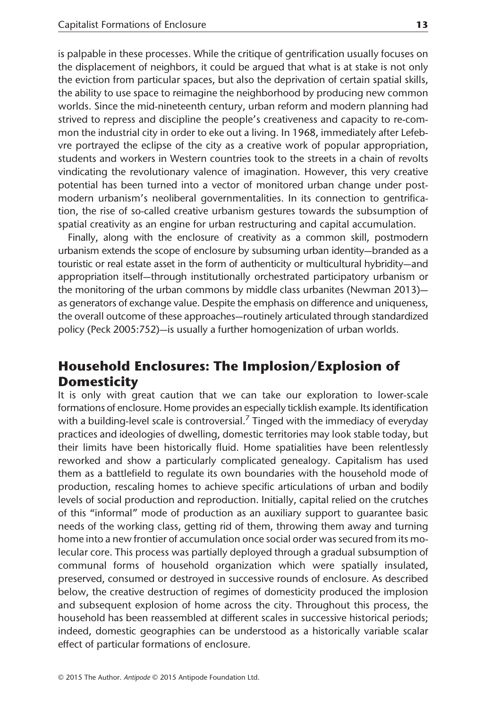is palpable in these processes. While the critique of gentrification usually focuses on the displacement of neighbors, it could be argued that what is at stake is not only the eviction from particular spaces, but also the deprivation of certain spatial skills, the ability to use space to reimagine the neighborhood by producing new common worlds. Since the mid-nineteenth century, urban reform and modern planning had strived to repress and discipline the people's creativeness and capacity to re-common the industrial city in order to eke out a living. In 1968, immediately after Lefebvre portrayed the eclipse of the city as a creative work of popular appropriation, students and workers in Western countries took to the streets in a chain of revolts vindicating the revolutionary valence of imagination. However, this very creative potential has been turned into a vector of monitored urban change under postmodern urbanism's neoliberal governmentalities. In its connection to gentrification, the rise of so-called creative urbanism gestures towards the subsumption of spatial creativity as an engine for urban restructuring and capital accumulation.

Finally, along with the enclosure of creativity as a common skill, postmodern urbanism extends the scope of enclosure by subsuming urban identity—branded as a touristic or real estate asset in the form of authenticity or multicultural hybridity—and appropriation itself—through institutionally orchestrated participatory urbanism or the monitoring of the urban commons by middle class urbanites (Newman 2013) as generators of exchange value. Despite the emphasis on difference and uniqueness, the overall outcome of these approaches—routinely articulated through standardized policy (Peck 2005:752)—is usually a further homogenization of urban worlds.

# Household Enclosures: The Implosion/Explosion of **Domesticity**

It is only with great caution that we can take our exploration to lower-scale formations of enclosure. Home provides an especially ticklish example. Its identification with a building-level scale is controversial.<sup>7</sup> Tinged with the immediacy of everyday practices and ideologies of dwelling, domestic territories may look stable today, but their limits have been historically fluid. Home spatialities have been relentlessly reworked and show a particularly complicated genealogy. Capitalism has used them as a battlefield to regulate its own boundaries with the household mode of production, rescaling homes to achieve specific articulations of urban and bodily levels of social production and reproduction. Initially, capital relied on the crutches of this "informal" mode of production as an auxiliary support to guarantee basic needs of the working class, getting rid of them, throwing them away and turning home into a new frontier of accumulation once social order was secured from its molecular core. This process was partially deployed through a gradual subsumption of communal forms of household organization which were spatially insulated, preserved, consumed or destroyed in successive rounds of enclosure. As described below, the creative destruction of regimes of domesticity produced the implosion and subsequent explosion of home across the city. Throughout this process, the household has been reassembled at different scales in successive historical periods; indeed, domestic geographies can be understood as a historically variable scalar effect of particular formations of enclosure.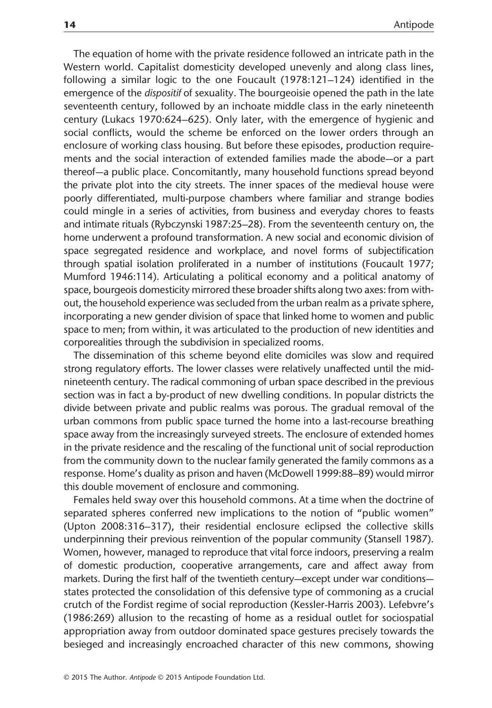The equation of home with the private residence followed an intricate path in the Western world. Capitalist domesticity developed unevenly and along class lines, following a similar logic to the one Foucault (1978:121–124) identified in the emergence of the dispositif of sexuality. The bourgeoisie opened the path in the late seventeenth century, followed by an inchoate middle class in the early nineteenth century (Lukacs 1970:624–625). Only later, with the emergence of hygienic and social conflicts, would the scheme be enforced on the lower orders through an enclosure of working class housing. But before these episodes, production requirements and the social interaction of extended families made the abode—or a part thereof—a public place. Concomitantly, many household functions spread beyond the private plot into the city streets. The inner spaces of the medieval house were poorly differentiated, multi-purpose chambers where familiar and strange bodies could mingle in a series of activities, from business and everyday chores to feasts and intimate rituals (Rybczynski 1987:25–28). From the seventeenth century on, the home underwent a profound transformation. A new social and economic division of space segregated residence and workplace, and novel forms of subjectification through spatial isolation proliferated in a number of institutions (Foucault 1977; Mumford 1946:114). Articulating a political economy and a political anatomy of space, bourgeois domesticity mirrored these broader shifts along two axes: from without, the household experience was secluded from the urban realm as a private sphere, incorporating a new gender division of space that linked home to women and public space to men; from within, it was articulated to the production of new identities and corporealities through the subdivision in specialized rooms.

The dissemination of this scheme beyond elite domiciles was slow and required strong regulatory efforts. The lower classes were relatively unaffected until the midnineteenth century. The radical commoning of urban space described in the previous section was in fact a by-product of new dwelling conditions. In popular districts the divide between private and public realms was porous. The gradual removal of the urban commons from public space turned the home into a last-recourse breathing space away from the increasingly surveyed streets. The enclosure of extended homes in the private residence and the rescaling of the functional unit of social reproduction from the community down to the nuclear family generated the family commons as a response. Home's duality as prison and haven (McDowell 1999:88–89) would mirror this double movement of enclosure and commoning.

Females held sway over this household commons. At a time when the doctrine of separated spheres conferred new implications to the notion of "public women" (Upton 2008:316–317), their residential enclosure eclipsed the collective skills underpinning their previous reinvention of the popular community (Stansell 1987). Women, however, managed to reproduce that vital force indoors, preserving a realm of domestic production, cooperative arrangements, care and affect away from markets. During the first half of the twentieth century—except under war conditions states protected the consolidation of this defensive type of commoning as a crucial crutch of the Fordist regime of social reproduction (Kessler-Harris 2003). Lefebvre's (1986:269) allusion to the recasting of home as a residual outlet for sociospatial appropriation away from outdoor dominated space gestures precisely towards the besieged and increasingly encroached character of this new commons, showing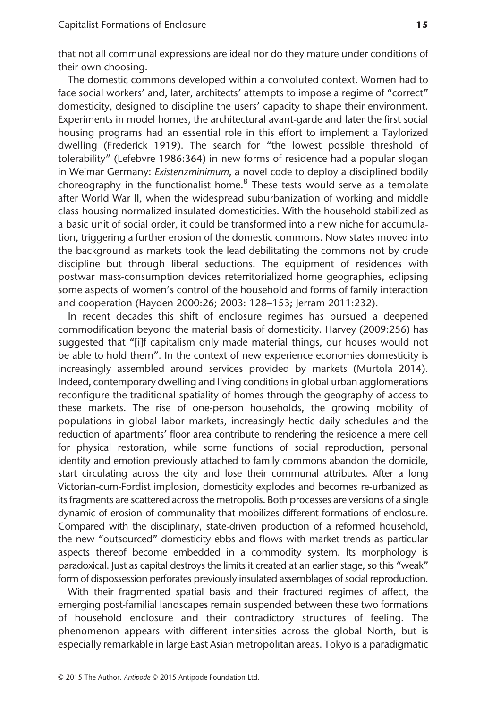that not all communal expressions are ideal nor do they mature under conditions of their own choosing.

The domestic commons developed within a convoluted context. Women had to face social workers' and, later, architects' attempts to impose a regime of "correct" domesticity, designed to discipline the users' capacity to shape their environment. Experiments in model homes, the architectural avant-garde and later the first social housing programs had an essential role in this effort to implement a Taylorized dwelling (Frederick 1919). The search for "the lowest possible threshold of tolerability" (Lefebvre 1986:364) in new forms of residence had a popular slogan in Weimar Germany: Existenzminimum, a novel code to deploy a disciplined bodily choreography in the functionalist home. $8$  These tests would serve as a template after World War II, when the widespread suburbanization of working and middle class housing normalized insulated domesticities. With the household stabilized as a basic unit of social order, it could be transformed into a new niche for accumulation, triggering a further erosion of the domestic commons. Now states moved into the background as markets took the lead debilitating the commons not by crude discipline but through liberal seductions. The equipment of residences with postwar mass-consumption devices reterritorialized home geographies, eclipsing some aspects of women's control of the household and forms of family interaction and cooperation (Hayden 2000:26; 2003: 128–153; Jerram 2011:232).

In recent decades this shift of enclosure regimes has pursued a deepened commodification beyond the material basis of domesticity. Harvey (2009:256) has suggested that "[i]f capitalism only made material things, our houses would not be able to hold them". In the context of new experience economies domesticity is increasingly assembled around services provided by markets (Murtola 2014). Indeed, contemporary dwelling and living conditions in global urban agglomerations reconfigure the traditional spatiality of homes through the geography of access to these markets. The rise of one-person households, the growing mobility of populations in global labor markets, increasingly hectic daily schedules and the reduction of apartments' floor area contribute to rendering the residence a mere cell for physical restoration, while some functions of social reproduction, personal identity and emotion previously attached to family commons abandon the domicile, start circulating across the city and lose their communal attributes. After a long Victorian-cum-Fordist implosion, domesticity explodes and becomes re-urbanized as its fragments are scattered across the metropolis. Both processes are versions of a single dynamic of erosion of communality that mobilizes different formations of enclosure. Compared with the disciplinary, state-driven production of a reformed household, the new "outsourced" domesticity ebbs and flows with market trends as particular aspects thereof become embedded in a commodity system. Its morphology is paradoxical. Just as capital destroys the limits it created at an earlier stage, so this "weak" form of dispossession perforates previously insulated assemblages of social reproduction.

With their fragmented spatial basis and their fractured regimes of affect, the emerging post-familial landscapes remain suspended between these two formations of household enclosure and their contradictory structures of feeling. The phenomenon appears with different intensities across the global North, but is especially remarkable in large East Asian metropolitan areas. Tokyo is a paradigmatic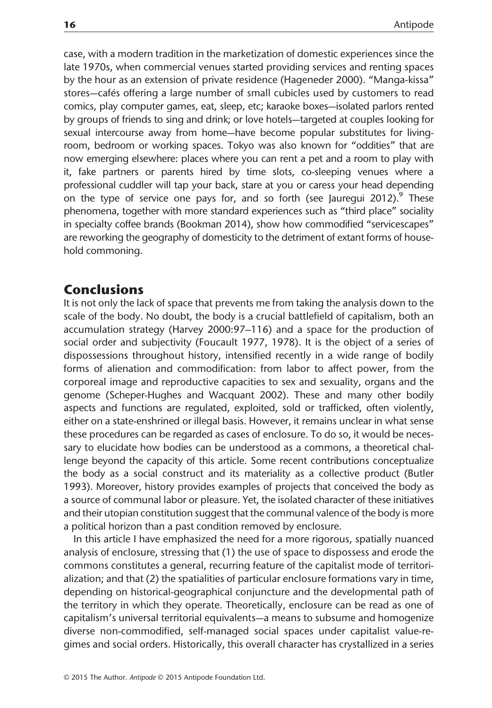case, with a modern tradition in the marketization of domestic experiences since the late 1970s, when commercial venues started providing services and renting spaces by the hour as an extension of private residence (Hageneder 2000). "Manga-kissa" stores—cafés offering a large number of small cubicles used by customers to read comics, play computer games, eat, sleep, etc; karaoke boxes—isolated parlors rented by groups of friends to sing and drink; or love hotels—targeted at couples looking for sexual intercourse away from home—have become popular substitutes for livingroom, bedroom or working spaces. Tokyo was also known for "oddities" that are now emerging elsewhere: places where you can rent a pet and a room to play with it, fake partners or parents hired by time slots, co-sleeping venues where a professional cuddler will tap your back, stare at you or caress your head depending on the type of service one pays for, and so forth (see Jaurequi 2012).<sup>9</sup> These phenomena, together with more standard experiences such as "third place" sociality in specialty coffee brands (Bookman 2014), show how commodified "servicescapes" are reworking the geography of domesticity to the detriment of extant forms of household commoning.

#### Conclusions

It is not only the lack of space that prevents me from taking the analysis down to the scale of the body. No doubt, the body is a crucial battlefield of capitalism, both an accumulation strategy (Harvey 2000:97–116) and a space for the production of social order and subjectivity (Foucault 1977, 1978). It is the object of a series of dispossessions throughout history, intensified recently in a wide range of bodily forms of alienation and commodification: from labor to affect power, from the corporeal image and reproductive capacities to sex and sexuality, organs and the genome (Scheper-Hughes and Wacquant 2002). These and many other bodily aspects and functions are regulated, exploited, sold or trafficked, often violently, either on a state-enshrined or illegal basis. However, it remains unclear in what sense these procedures can be regarded as cases of enclosure. To do so, it would be necessary to elucidate how bodies can be understood as a commons, a theoretical challenge beyond the capacity of this article. Some recent contributions conceptualize the body as a social construct and its materiality as a collective product (Butler 1993). Moreover, history provides examples of projects that conceived the body as a source of communal labor or pleasure. Yet, the isolated character of these initiatives and their utopian constitution suggest that the communal valence of the body is more a political horizon than a past condition removed by enclosure.

In this article I have emphasized the need for a more rigorous, spatially nuanced analysis of enclosure, stressing that (1) the use of space to dispossess and erode the commons constitutes a general, recurring feature of the capitalist mode of territorialization; and that (2) the spatialities of particular enclosure formations vary in time, depending on historical-geographical conjuncture and the developmental path of the territory in which they operate. Theoretically, enclosure can be read as one of capitalism's universal territorial equivalents—a means to subsume and homogenize diverse non-commodified, self-managed social spaces under capitalist value-regimes and social orders. Historically, this overall character has crystallized in a series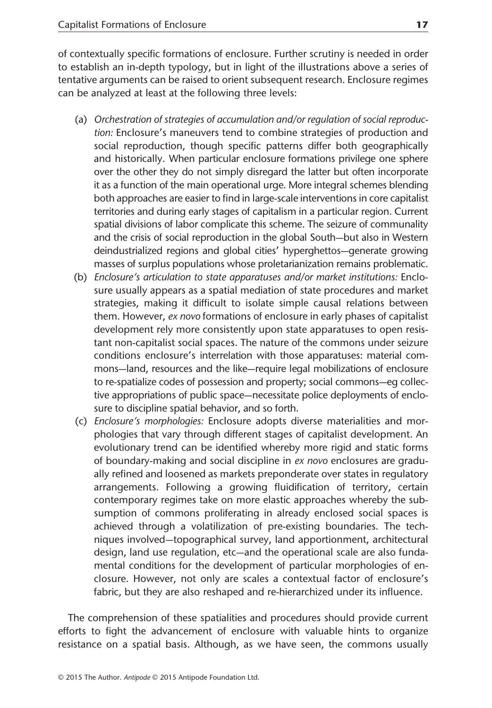of contextually specific formations of enclosure. Further scrutiny is needed in order to establish an in-depth typology, but in light of the illustrations above a series of tentative arguments can be raised to orient subsequent research. Enclosure regimes can be analyzed at least at the following three levels:

- (a) Orchestration of strategies of accumulation and/or regulation of social reproduction: Enclosure's maneuvers tend to combine strategies of production and social reproduction, though specific patterns differ both geographically and historically. When particular enclosure formations privilege one sphere over the other they do not simply disregard the latter but often incorporate it as a function of the main operational urge. More integral schemes blending both approaches are easier to find in large-scale interventions in core capitalist territories and during early stages of capitalism in a particular region. Current spatial divisions of labor complicate this scheme. The seizure of communality and the crisis of social reproduction in the global South—but also in Western deindustrialized regions and global cities' hyperghettos—generate growing masses of surplus populations whose proletarianization remains problematic.
- (b) Enclosure's articulation to state apparatuses and/or market institutions: Enclosure usually appears as a spatial mediation of state procedures and market strategies, making it difficult to isolate simple causal relations between them. However, ex novo formations of enclosure in early phases of capitalist development rely more consistently upon state apparatuses to open resistant non-capitalist social spaces. The nature of the commons under seizure conditions enclosure's interrelation with those apparatuses: material commons—land, resources and the like—require legal mobilizations of enclosure to re-spatialize codes of possession and property; social commons—eg collective appropriations of public space—necessitate police deployments of enclosure to discipline spatial behavior, and so forth.
- (c) Enclosure's morphologies: Enclosure adopts diverse materialities and morphologies that vary through different stages of capitalist development. An evolutionary trend can be identified whereby more rigid and static forms of boundary-making and social discipline in ex novo enclosures are gradually refined and loosened as markets preponderate over states in regulatory arrangements. Following a growing fluidification of territory, certain contemporary regimes take on more elastic approaches whereby the subsumption of commons proliferating in already enclosed social spaces is achieved through a volatilization of pre-existing boundaries. The techniques involved—topographical survey, land apportionment, architectural design, land use regulation, etc—and the operational scale are also fundamental conditions for the development of particular morphologies of enclosure. However, not only are scales a contextual factor of enclosure's fabric, but they are also reshaped and re-hierarchized under its influence.

The comprehension of these spatialities and procedures should provide current efforts to fight the advancement of enclosure with valuable hints to organize resistance on a spatial basis. Although, as we have seen, the commons usually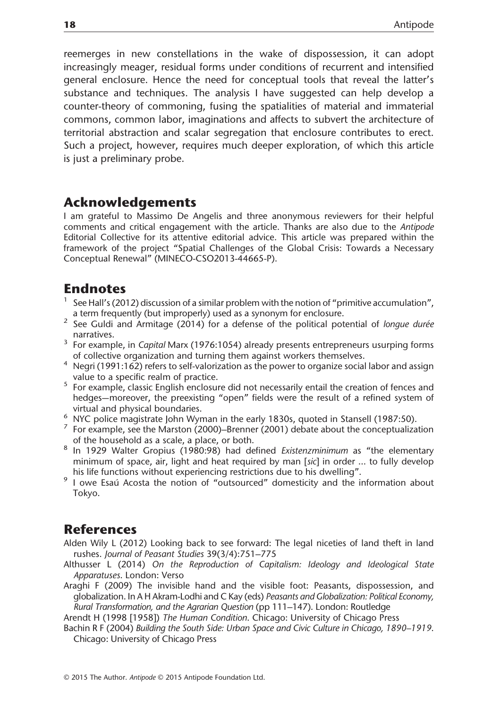reemerges in new constellations in the wake of dispossession, it can adopt increasingly meager, residual forms under conditions of recurrent and intensified general enclosure. Hence the need for conceptual tools that reveal the latter's substance and techniques. The analysis I have suggested can help develop a counter-theory of commoning, fusing the spatialities of material and immaterial commons, common labor, imaginations and affects to subvert the architecture of territorial abstraction and scalar segregation that enclosure contributes to erect. Such a project, however, requires much deeper exploration, of which this article is just a preliminary probe.

#### Acknowledgements

I am grateful to Massimo De Angelis and three anonymous reviewers for their helpful comments and critical engagement with the article. Thanks are also due to the Antipode Editorial Collective for its attentive editorial advice. This article was prepared within the framework of the project "Spatial Challenges of the Global Crisis: Towards a Necessary Conceptual Renewal" (MINECO-CSO2013-44665-P).

#### **Endnotes**

- <sup>1</sup> See Hall's (2012) discussion of a similar problem with the notion of "primitive accumulation",
- a term frequently (but improperly) used as a synonym for enclosure.<br><sup>2</sup> See Guldi and Armitage (2014) for a defense of the political potential of *longue durée*
- narratives.<br><sup>3</sup> For example, in Capital Marx (1976:1054) already presents entrepreneurs usurping forms
- of collective organization and turning them against workers themselves. <sup>4</sup> Negri (1991:162) refers to self-valorization as the power to organize social labor and assign
- value to a specific realm of practice.<br><sup>5</sup> For example, classic English enclosure did not necessarily entail the creation of fences and hedges—moreover, the preexisting "open" fields were the result of a refined system of
- 
- virtual and physical boundaries.<br>
<sup>6</sup> NYC police magistrate John Wyman in the early 1830s, quoted in Stansell (1987:50).<br>
<sup>7</sup> For example, see the Marston (2000)–Brenner (2001) debate about the conceptualization<br>
of the h
- $8$  In 1929 Walter Gropius (1980:98) had defined Existenzminimum as "the elementary minimum of space, air, light and heat required by man [sic] in order … to fully develop
- his life functions without experiencing restrictions due to his dwelling".<br><sup>9</sup> I owe Esaú Acosta the notion of "outsourced" domesticity and the information about Tokyo.

## References

Alden Wily L (2012) Looking back to see forward: The legal niceties of land theft in land rushes. Journal of Peasant Studies 39(3/4):751–775

Althusser L (2014) On the Reproduction of Capitalism: Ideology and Ideological State Apparatuses. London: Verso

Araghi F (2009) The invisible hand and the visible foot: Peasants, dispossession, and globalization. In A H Akram-Lodhi and C Kay (eds) Peasants and Globalization: Political Economy, Rural Transformation, and the Agrarian Question (pp 111–147). London: Routledge

Arendt H (1998 [1958]) The Human Condition. Chicago: University of Chicago Press

Bachin R F (2004) Building the South Side: Urban Space and Civic Culture in Chicago, 1890–1919. Chicago: University of Chicago Press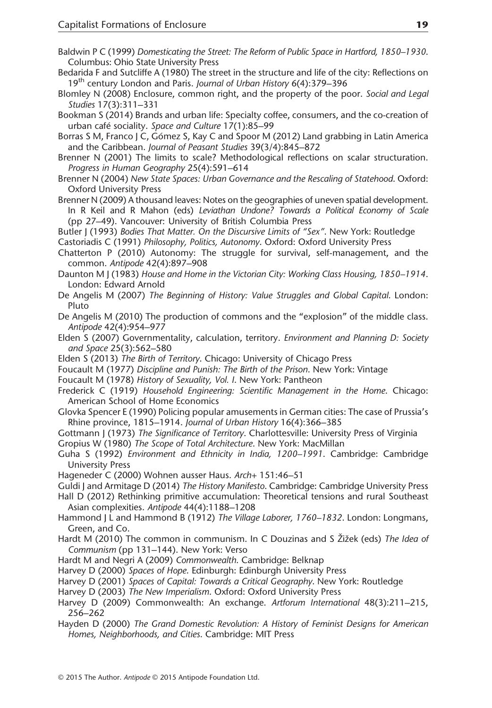- Baldwin P C (1999) Domesticating the Street: The Reform of Public Space in Hartford, 1850–1930. Columbus: Ohio State University Press
- Bedarida F and Sutcliffe A (1980) The street in the structure and life of the city: Reflections on 19<sup>th</sup> century London and Paris. Journal of Urban History 6(4):379–396
- Blomley N (2008) Enclosure, common right, and the property of the poor. Social and Legal Studies 17(3):311–331
- Bookman S (2014) Brands and urban life: Specialty coffee, consumers, and the co-creation of urban café sociality. Space and Culture 17(1):85–99
- Borras S M, Franco J C, Gómez S, Kay C and Spoor M (2012) Land grabbing in Latin America and the Caribbean. Journal of Peasant Studies 39(3/4):845–872
- Brenner N (2001) The limits to scale? Methodological reflections on scalar structuration. Progress in Human Geography 25(4):591–614
- Brenner N (2004) New State Spaces: Urban Governance and the Rescaling of Statehood. Oxford: Oxford University Press
- Brenner N (2009) A thousand leaves: Notes on the geographies of uneven spatial development. In R Keil and R Mahon (eds) Leviathan Undone? Towards a Political Economy of Scale

(pp 27–49). Vancouver: University of British Columbia Press

- Butler J (1993) Bodies That Matter. On the Discursive Limits of "Sex". New York: Routledge Castoriadis C (1991) Philosophy, Politics, Autonomy. Oxford: Oxford University Press
- Chatterton P (2010) Autonomy: The struggle for survival, self-management, and the common. Antipode 42(4):897–908
- Daunton M J (1983) House and Home in the Victorian City: Working Class Housing, 1850–1914. London: Edward Arnold
- De Angelis M (2007) The Beginning of History: Value Struggles and Global Capital. London: Pluto
- De Angelis M (2010) The production of commons and the "explosion" of the middle class. Antipode 42(4):954–977
- Elden S (2007) Governmentality, calculation, territory. Environment and Planning D: Society and Space 25(3):562–580
- Elden S (2013) The Birth of Territory. Chicago: University of Chicago Press
- Foucault M (1977) Discipline and Punish: The Birth of the Prison. New York: Vintage
- Foucault M (1978) History of Sexuality, Vol. I. New York: Pantheon
- Frederick C (1919) Household Engineering: Scientific Management in the Home. Chicago: American School of Home Economics
- Glovka Spencer E (1990) Policing popular amusements in German cities: The case of Prussia's Rhine province, 1815–1914. Journal of Urban History 16(4):366–385
- Gottmann J (1973) The Significance of Territory. Charlottesville: University Press of Virginia Gropius W (1980) The Scope of Total Architecture. New York: MacMillan
- Guha S (1992) Environment and Ethnicity in India, 1200–1991. Cambridge: Cambridge University Press
- Hageneder C (2000) Wohnen ausser Haus. Arch+ 151:46–51
- Guldi J and Armitage D (2014) The History Manifesto. Cambridge: Cambridge University Press
- Hall D (2012) Rethinking primitive accumulation: Theoretical tensions and rural Southeast Asian complexities. Antipode 44(4):1188–1208
- Hammond J L and Hammond B (1912) The Village Laborer, 1760–1832. London: Longmans, Green, and Co.
- Hardt M (2010) The common in communism. In C Douzinas and S Žižek (eds) The Idea of Communism (pp 131–144). New York: Verso
- Hardt M and Negri A (2009) Commonwealth. Cambridge: Belknap
- Harvey D (2000) Spaces of Hope. Edinburgh: Edinburgh University Press
- Harvey D (2001) Spaces of Capital: Towards a Critical Geography. New York: Routledge
- Harvey D (2003) The New Imperialism. Oxford: Oxford University Press
- Harvey D (2009) Commonwealth: An exchange. Artforum International 48(3):211-215, 256–262
- Hayden D (2000) The Grand Domestic Revolution: A History of Feminist Designs for American Homes, Neighborhoods, and Cities. Cambridge: MIT Press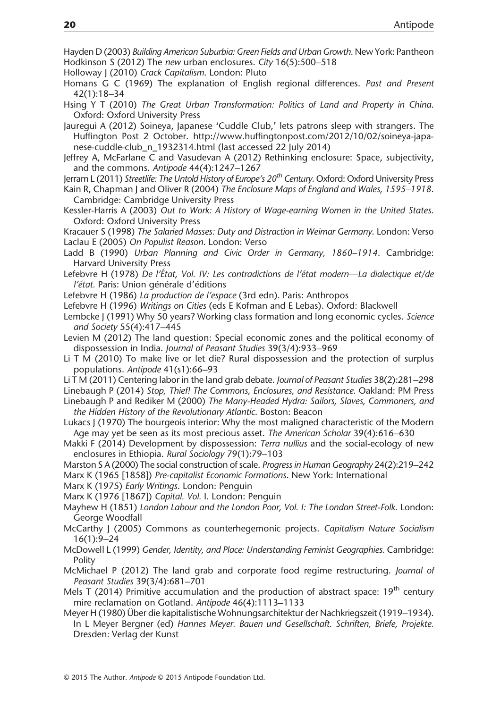Hayden D (2003) Building American Suburbia: Green Fields and Urban Growth. New York: Pantheon Hodkinson S (2012) The new urban enclosures. City 16(5):500–518

Holloway J (2010) Crack Capitalism. London: Pluto

- Homans G C (1969) The explanation of English regional differences. Past and Present 42(1):18–34
- Hsing Y T (2010) The Great Urban Transformation: Politics of Land and Property in China. Oxford: Oxford University Press

Jauregui A (2012) Soineya, Japanese 'Cuddle Club,' lets patrons sleep with strangers. The Huffington Post 2 October. http://www.huffingtonpost.com/2012/10/02/soineya-japanese-cuddle-club\_n\_1932314.html (last accessed 22 July 2014)

Jeffrey A, McFarlane C and Vasudevan A (2012) Rethinking enclosure: Space, subjectivity, and the commons. Antipode 44(4):1247–1267

Jerram L (2011) Streetlife: The Untold History of Europe's 20<sup>th</sup> Century. Oxford: Oxford University Press

- Kain R, Chapman J and Oliver R (2004) The Enclosure Maps of England and Wales, 1595–1918. Cambridge: Cambridge University Press
- Kessler-Harris A (2003) Out to Work: A History of Wage-earning Women in the United States. Oxford: Oxford University Press

Kracauer S (1998) The Salaried Masses: Duty and Distraction in Weimar Germany. London: Verso Laclau E (2005) On Populist Reason. London: Verso

- Ladd B (1990) Urban Planning and Civic Order in Germany, 1860–1914. Cambridge: Harvard University Press
- Lefebvre H (1978) De l'État, Vol. IV: Les contradictions de l'état modern—La dialectique et/de l'état. Paris: Union générale d'éditions

Lefebvre H (1986) La production de l'espace (3rd edn). Paris: Anthropos

Lefebvre H (1996) Writings on Cities (eds E Kofman and E Lebas). Oxford: Blackwell

Lembcke J (1991) Why 50 years? Working class formation and long economic cycles. Science and Society 55(4):417–445

- Levien M (2012) The land question: Special economic zones and the political economy of dispossession in India. Journal of Peasant Studies 39(3/4):933–969
- Li T M (2010) To make live or let die? Rural dispossession and the protection of surplus populations. Antipode 41(s1):66–93

Li T M (2011) Centering labor in the land grab debate. Journal of Peasant Studies 38(2):281–298 Linebaugh P (2014) Stop, Thief! The Commons, Enclosures, and Resistance. Oakland: PM Press

Linebaugh P and Rediker M (2000) The Many-Headed Hydra: Sailors, Slaves, Commoners, and the Hidden History of the Revolutionary Atlantic. Boston: Beacon

- Lukacs J (1970) The bourgeois interior: Why the most maligned characteristic of the Modern Age may yet be seen as its most precious asset. The American Scholar 39(4):616–630
- Makki F (2014) Development by dispossession: Terra nullius and the social-ecology of new enclosures in Ethiopia. Rural Sociology 79(1):79–103

Marston S A (2000) The social construction of scale. Progress in Human Geography 24(2):219–242 Marx K (1965 [1858]) Pre-capitalist Economic Formations. New York: International

Marx K (1975) Early Writings. London: Penguin

Marx K (1976 [1867]) Capital. Vol. I. London: Penguin

- Mayhew H (1851) London Labour and the London Poor, Vol. I: The London Street-Folk. London: George Woodfall
- McCarthy J (2005) Commons as counterhegemonic projects. Capitalism Nature Socialism 16(1):9–24
- McDowell L (1999) Gender, Identity, and Place: Understanding Feminist Geographies. Cambridge: Polity

McMichael P (2012) The land grab and corporate food regime restructuring. Journal of Peasant Studies 39(3/4):681–701

- Mels T (2014) Primitive accumulation and the production of abstract space:  $19^{th}$  century mire reclamation on Gotland. Antipode 46(4):1113–1133
- Meyer H (1980) Über die kapitalistische Wohnungsarchitektur der Nachkriegszeit (1919–1934). In L Meyer Bergner (ed) Hannes Meyer. Bauen und Gesellschaft. Schriften, Briefe, Projekte. Dresden: Verlag der Kunst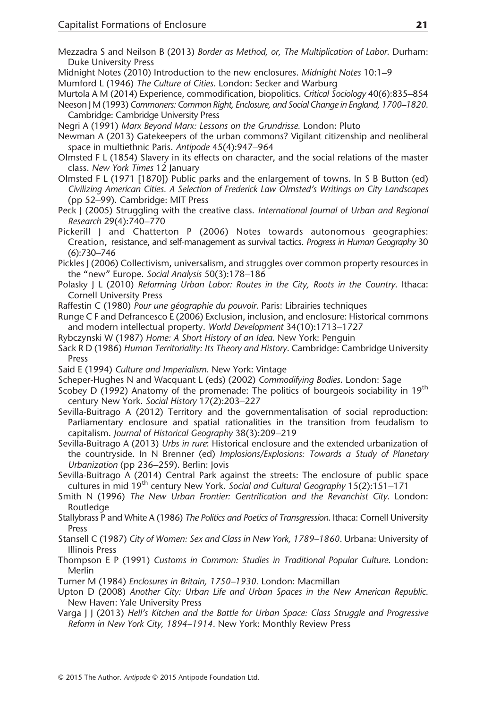- Mezzadra S and Neilson B (2013) Border as Method, or, The Multiplication of Labor. Durham: Duke University Press
- Midnight Notes (2010) Introduction to the new enclosures. Midnight Notes 10:1–9

Mumford L (1946) The Culture of Cities. London: Secker and Warburg

- Murtola A M (2014) Experience, commodification, biopolitics. Critical Sociology 40(6):835–854 Neeson J M (1993) Commoners: Common Right, Enclosure, and Social Change in England, 1700–1820. Cambridge: Cambridge University Press
- Negri A (1991) Marx Beyond Marx: Lessons on the Grundrisse. London: Pluto
- Newman A (2013) Gatekeepers of the urban commons? Vigilant citizenship and neoliberal space in multiethnic Paris. Antipode 45(4):947–964
- Olmsted F L (1854) Slavery in its effects on character, and the social relations of the master class. New York Times 12 January
- Olmsted F L (1971 [1870]) Public parks and the enlargement of towns. In S B Button (ed) Civilizing American Cities. A Selection of Frederick Law Olmsted's Writings on City Landscapes (pp 52–99). Cambridge: MIT Press
- Peck J (2005) Struggling with the creative class. International Journal of Urban and Regional Research 29(4):740–770
- Pickerill J and Chatterton P (2006) Notes towards autonomous geographies: Creation, resistance, and self-management as survival tactics. Progress in Human Geography 30 (6):730–746
- Pickles J (2006) Collectivism, universalism, and struggles over common property resources in the "new" Europe. Social Analysis 50(3):178–186
- Polasky J L (2010) Reforming Urban Labor: Routes in the City, Roots in the Country. Ithaca: Cornell University Press
- Raffestin C (1980) Pour une géographie du pouvoir. Paris: Librairies techniques
- Runge C F and Defrancesco E (2006) Exclusion, inclusion, and enclosure: Historical commons and modern intellectual property. World Development 34(10):1713–1727
- Rybczynski W (1987) Home: A Short History of an Idea. New York: Penguin
- Sack R D (1986) Human Territoriality: Its Theory and History. Cambridge: Cambridge University Press
- Said E (1994) Culture and Imperialism. New York: Vintage
- Scheper-Hughes N and Wacquant L (eds) (2002) Commodifying Bodies. London: Sage
- Scobey D (1992) Anatomy of the promenade: The politics of bourgeois sociability in 19<sup>th</sup> century New York. Social History 17(2):203–227
- Sevilla-Buitrago A (2012) Territory and the governmentalisation of social reproduction: Parliamentary enclosure and spatial rationalities in the transition from feudalism to capitalism. Journal of Historical Geography 38(3):209–219
- Sevilla-Buitrago A (2013) Urbs in rure: Historical enclosure and the extended urbanization of the countryside. In N Brenner (ed) Implosions/Explosions: Towards a Study of Planetary Urbanization (pp 236–259). Berlin: Jovis
- Sevilla-Buitrago A (2014) Central Park against the streets: The enclosure of public space cultures in mid 19<sup>th</sup> century New York. Social and Cultural Geography 15(2):151–171
- Smith N (1996) The New Urban Frontier: Gentrification and the Revanchist City. London: **Routledge**
- Stallybrass P and White A (1986) The Politics and Poetics of Transgression. Ithaca: Cornell University Press
- Stansell C (1987) City of Women: Sex and Class in New York, 1789–1860. Urbana: University of Illinois Press
- Thompson E P (1991) Customs in Common: Studies in Traditional Popular Culture. London: Merlin
- Turner M (1984) Enclosures in Britain, 1750–1930. London: Macmillan
- Upton D (2008) Another City: Urban Life and Urban Spaces in the New American Republic. New Haven: Yale University Press
- Varga J J (2013) Hell's Kitchen and the Battle for Urban Space: Class Struggle and Progressive Reform in New York City, 1894–1914. New York: Monthly Review Press